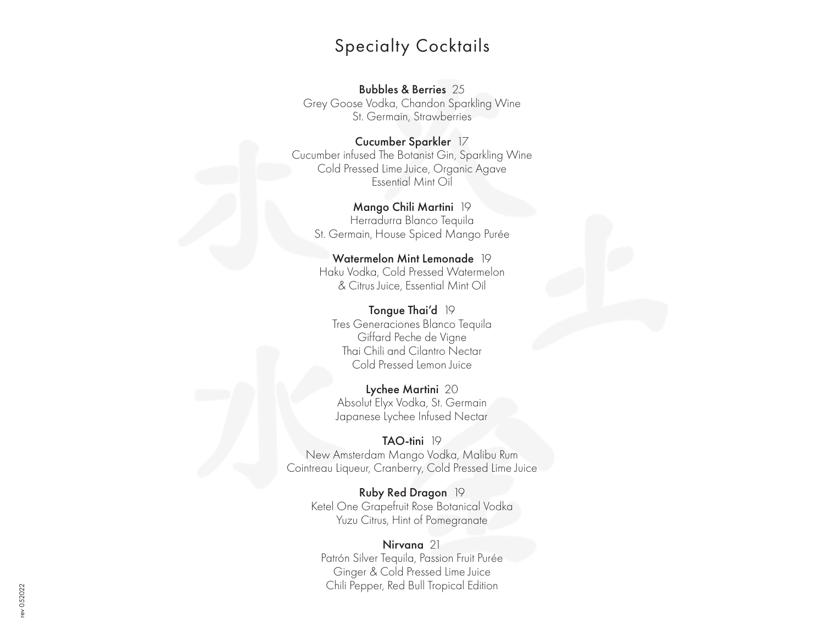#### Specialty Cocktails

Bubbles & Berries 25

Grey Goose Vodka, Chandon Sparkling Wine St. Germain, Strawberries

Cucumber Sparkler 17 Cucumber infused The Botanist Gin, Sparkling Wine Cold Pressed Lime Juice, Organic Agave Essential Mint Oil

Mango Chili Martini 19 Herradurra Blanco Tequila St. Germain, House Spiced Mango Purée

Watermelon Mint Lemonade 19 Haku Vodka, Cold Pressed Watermelon & Citrus Juice, Essential Mint Oil

Tongue Thai'd 19 Tres Generaciones Blanco Tequila Giffard Peche de Vigne Thai Chili and Cilantro Nectar Cold Pressed Lemon Juice

Lychee Martini 20 Absolut Elyx Vodka, St. Germain Japanese Lychee Infused Nectar

TAO-tini 19 New Amsterdam Mango Vodka, Malibu Rum Cointreau Liqueur, Cranberry, Cold Pressed Lime Juice

Ruby Red Dragon 19 Ketel One Grapefruit Rose Botanical Vodka Yuzu Citrus, Hint of Pomegranate

Nirvana 21 Patrón Silver Tequila, Passion Fruit Purée Ginger & Cold Pressed Lime Juice Chili Pepper, Red Bull Tropical Edition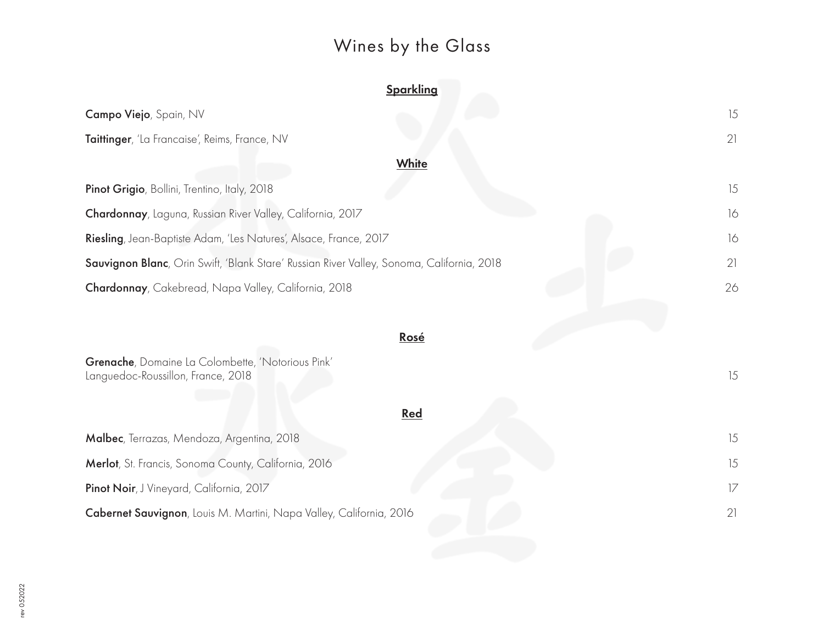# Wines by the Glass

| Sparkling                                                                                 |    |  |
|-------------------------------------------------------------------------------------------|----|--|
| Campo Viejo, Spain, NV                                                                    | 15 |  |
| Taittinger, 'La Francaise', Reims, France, NV                                             | 21 |  |
| White                                                                                     |    |  |
| Pinot Grigio, Bollini, Trentino, Italy, 2018                                              | 15 |  |
| Chardonnay, Laguna, Russian River Valley, California, 2017                                | 16 |  |
| Riesling, Jean-Baptiste Adam, 'Les Natures', Alsace, France, 2017                         |    |  |
| Sauvignon Blanc, Orin Swift, 'Blank Stare' Russian River Valley, Sonoma, California, 2018 |    |  |
| Chardonnay, Cakebread, Napa Valley, California, 2018                                      |    |  |
|                                                                                           |    |  |
| Rosé                                                                                      |    |  |
| Grenache, Domaine La Colombette, 'Notorious Pink'<br>Languedoc-Roussillon, France, 2018   | 15 |  |
| Red                                                                                       |    |  |
| Malbec, Terrazas, Mendoza, Argentina, 2018                                                | 15 |  |
| Merlot, St. Francis, Sonoma County, California, 2016                                      | 15 |  |
| Pinot Noir, J Vineyard, California, 2017                                                  | 17 |  |
| Cabernet Sauvignon, Louis M. Martini, Napa Valley, California, 2016                       | 21 |  |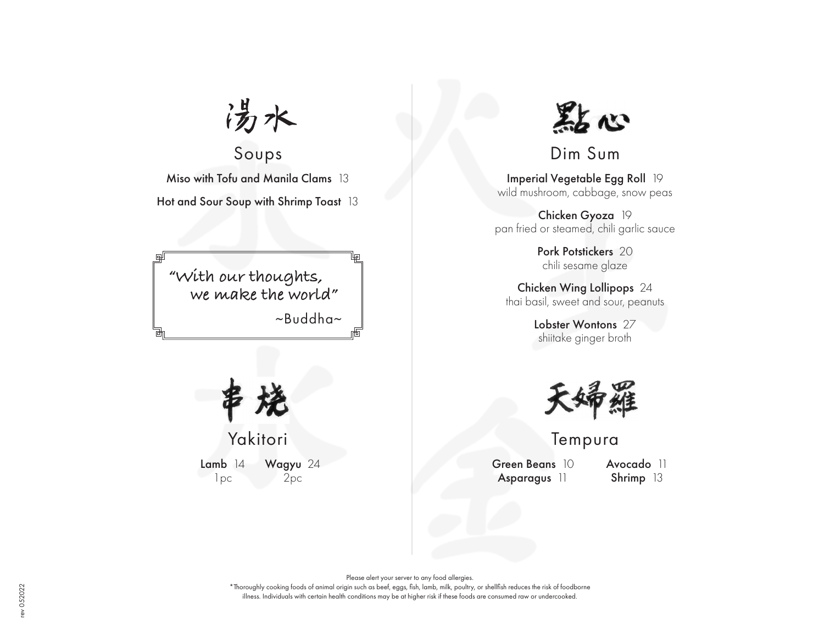涉水

Soups Miso with Tofu and Manila Clams 13

Hot and Sour Soup with Shrimp Toast 13

**"With our thoughts, we make the world"** ~Buddha~



Yakitori Lamb 14 Wagyu 24

1pc 2pc



Dim Sum

Imperial Vegetable Egg Roll 19 wild mushroom, cabbage, snow peas

Chicken Gyoza 19 pan fried or steamed, chili garlic sauce

> Pork Potstickers 20 chili sesame glaze

Chicken Wing Lollipops 24 thai basil, sweet and sour, peanuts

> Lobster Wontons 27 shiitake ginger broth



Tempura

Green Beans 10 Asparagus 11

Avocado 11 Shrimp 13

Please alert your server to any food allergies.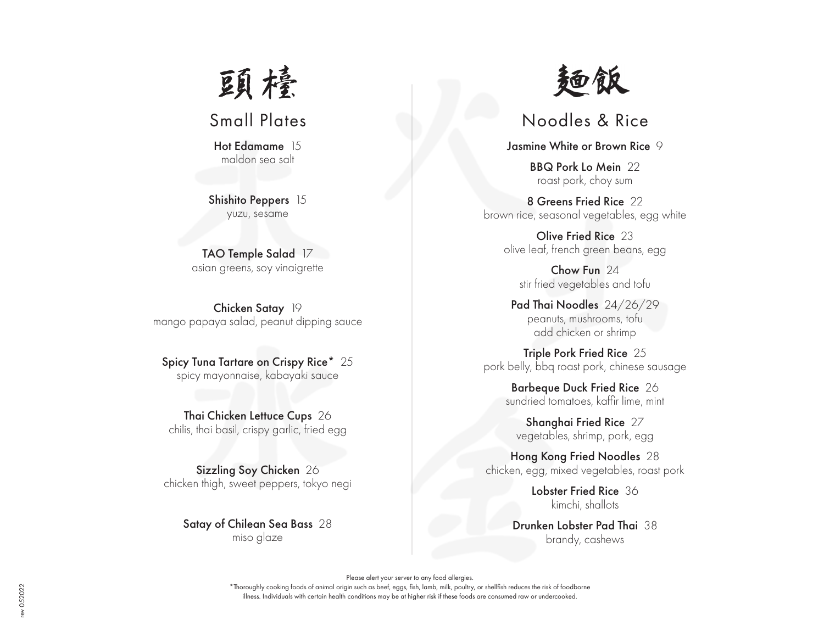

Hot Edamame 15 maldon sea salt

Shishito Peppers 15 yuzu, sesame

TAO Temple Salad 17 asian greens, soy vinaigrette

Chicken Satay 19 mango papaya salad, peanut dipping sauce

Spicy Tuna Tartare on Crispy Rice\* 25 spicy mayonnaise, kabayaki sauce

Thai Chicken Lettuce Cups 26 chilis, thai basil, crispy garlic, fried egg

Sizzling Soy Chicken 26 chicken thigh, sweet peppers, tokyo negi

> Satay of Chilean Sea Bass 28 miso glaze



## Small Plates Noodles & Rice

Jasmine White or Brown Rice 9

BBQ Pork Lo Mein 22 roast pork, choy sum

8 Greens Fried Rice 22 brown rice, seasonal vegetables, egg white

Olive Fried Rice 23 olive leaf, french green beans, egg

Chow Fun 24 stir fried vegetables and tofu

Pad Thai Noodles 24/26/29 peanuts, mushrooms, tofu add chicken or shrimp

Triple Pork Fried Rice 25 pork belly, bbq roast pork, chinese sausage

Barbeque Duck Fried Rice 26 sundried tomatoes, kaffir lime, mint

Shanghai Fried Rice 27 vegetables, shrimp, pork, egg

Hong Kong Fried Noodles 28 chicken, egg, mixed vegetables, roast pork

> Lobster Fried Rice 36 kimchi, shallots

Drunken Lobster Pad Thai 38 brandy, cashews

Please alert your server to any food allergies.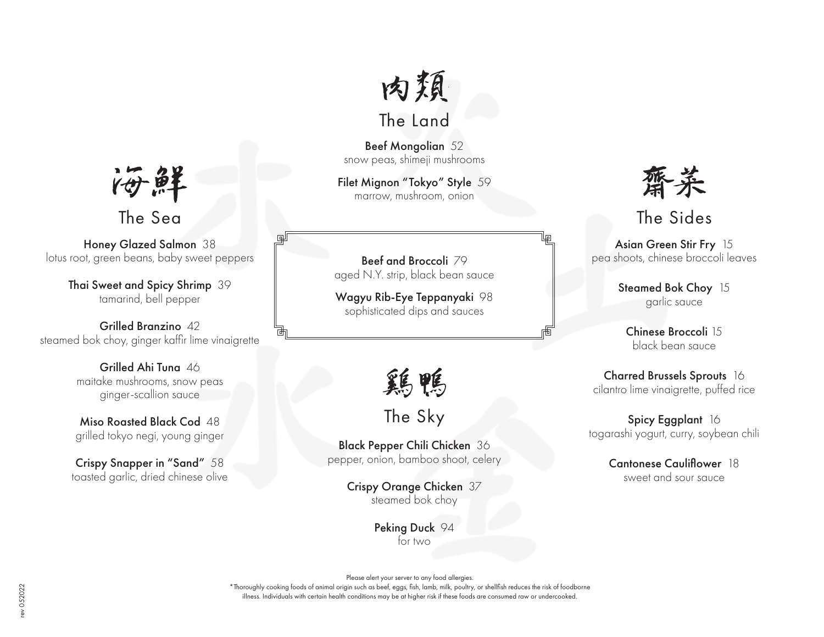

# The Land

Beef Mongolian 52 snow peas, shimeji mushrooms

Filet Mignon "Tokyo" Style 59 marrow, mushroom, onion

Beef and Broccoli 79 aged N.Y. strip, black bean sauce

Wagyu Rib-Eye Teppanyaki 98 sophisticated dips and sauces

鶏鴨

The Sky

Black Pepper Chili Chicken 36 pepper, onion, bamboo shoot, celery

> Crispy Orange Chicken 37 steamed bok choy

> > Peking Duck 94 for two



## The Sides

Asian Green Stir Fry 15 pea shoots, chinese broccoli leaves

> Steamed Bok Choy 15 garlic sauce

Chinese Broccoli 15 black bean sauce

Charred Brussels Sprouts 16 cilantro lime vinaigrette, puffed rice

Spicy Eggplant 16 togarashi yogurt, curry, soybean chili

> Cantonese Cauliflower 18 sweet and sour sauce

海鲜

The Sea

Honey Glazed Salmon 38 lotus root, green beans, baby sweet peppers

> Thai Sweet and Spicy Shrimp 39 tamarind, bell pepper

Grilled Branzino 42 steamed bok choy, ginger kaffir lime vinaigrette

> Grilled Ahi Tung 46 maitake mushrooms, snow peas ginger-scallion sauce

Miso Roasted Black Cod 48 grilled tokyo negi, young ginger

Crispy Snapper in "Sand" 58 toasted garlic, dried chinese olive

Please alert your server to any food allergies.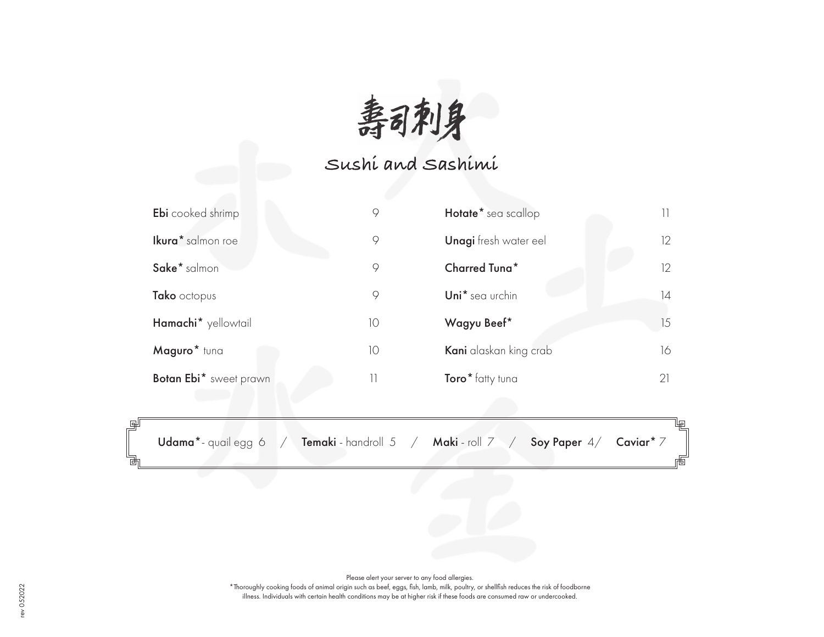**寿司刺身**<br>Sushi and Sashimi

| <b>Ebi</b> cooked shrimp | 9  | Hotate <sup>*</sup> sea scallop |    |
|--------------------------|----|---------------------------------|----|
| Ikura* salmon roe        | 9  | <b>Unagi</b> fresh water eel    | 12 |
| Sake* salmon             | 9  | <b>Charred Tuna*</b>            | 12 |
| Tako octopus             | 9  | Uni* sea urchin                 | 14 |
| Hamachi* yellowtail      | 10 | Wagyu Beef*                     | 15 |
| Maguro* tuna             | 10 | Kani alaskan king crab          | 16 |
| Botan Ebi* sweet prawn   | 11 | Toro* fatty tuna                | 21 |

Udama\*- quail egg 6 / Temaki - handroll 5 / Maki - roll 7 / Soy Paper 4/ Caviar\* 7

Щū

Please alert your server to any food allergies.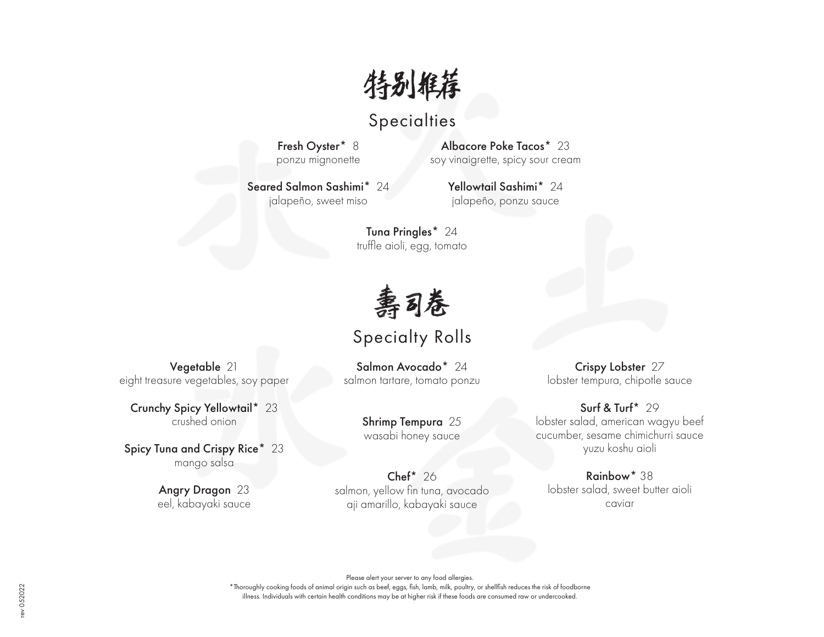特别推荐

### **Specialties**

Fresh Oyster\* 8 ponzu mignonette

Albacore Poke Tacos\* 23 soy vinaigrette, spicy sour cream

Seared Salmon Sashimi\* 24 jalapeño, sweet miso

Yellowtail Sashimi\* 24 jalapeño, ponzu sauce

Tuna Pringles\* 24 truffle aioli, egg, tomato

壽司卷

#### Specialty Rolls

Salmon Avocado<sup>\*</sup> 24 salmon tartare, tomato ponzu

> Shrimp Tempura 25 wasabi honey sauce

Chef\* 26 salmon, yellow fin tuna, avocado aji amarillo, kabayaki sauce

Crispy Lobster 27 lobster tempura, chipotle sauce

Surf & Turf\* 29 lobster salad, american wagyu beef cucumber, sesame chimichurri sauce yuzu koshu aioli

Rainbow\* 38 lobster salad, sweet butter aioli caviar

Please alert your server to any food allergies. \*Thoroughly cooking foods of animal origin such as beef, eggs, fish, lamb, milk, poultry, or shellfish reduces the risk of foodborne

illness. Individuals with certain health conditions may be at higher risk if these foods are consumed raw or undercooked.

Vegetable 21 eight treasure vegetables, soy paper

Crunchy Spicy Yellowtail\* 23 crushed onion

Spicy Tuna and Crispy Rice\* 23 mango salsa

> Angry Dragon 23 eel, kabayaki sauce